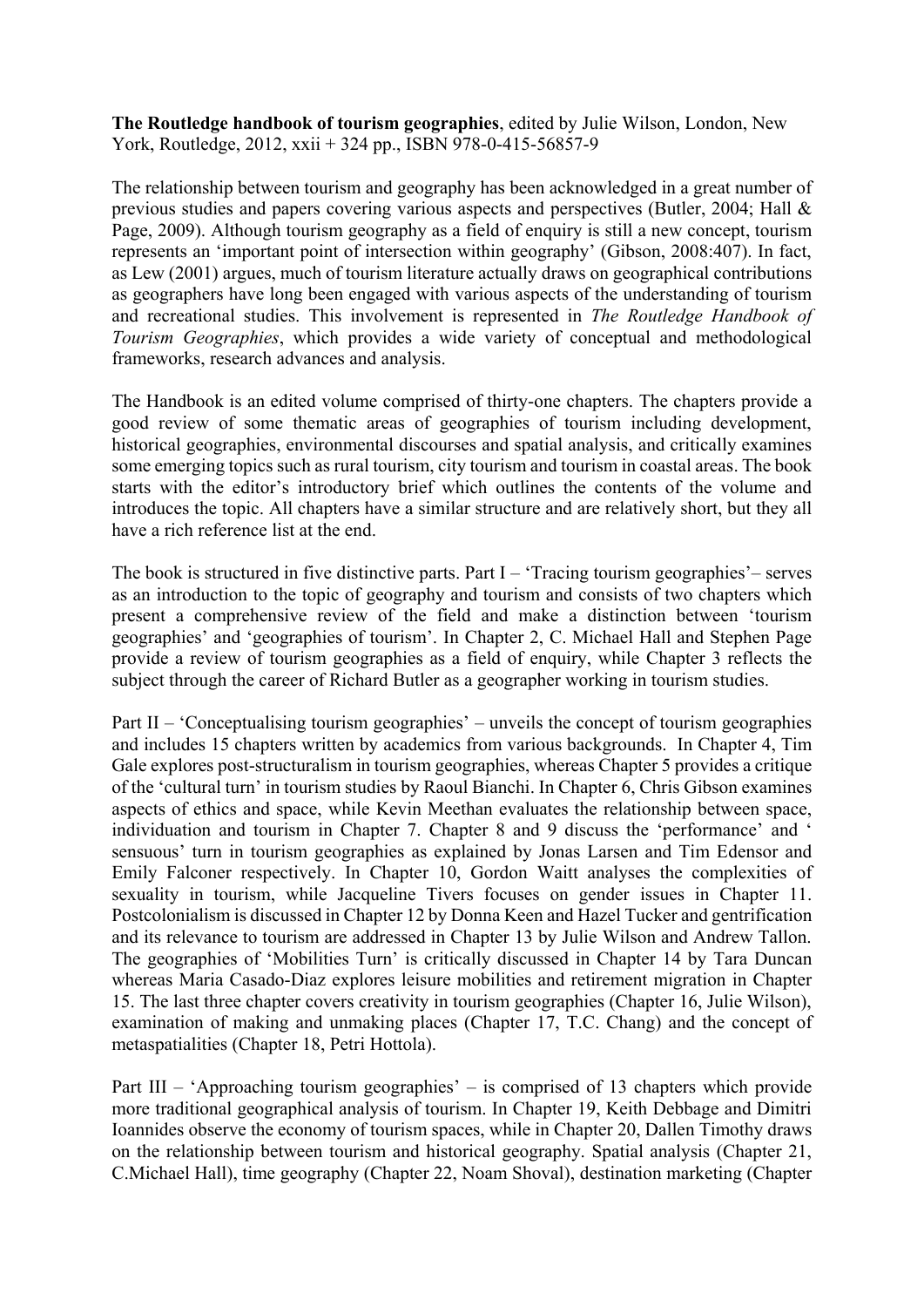**The Routledge handbook of tourism geographies**, edited by Julie Wilson, London, New York, Routledge, 2012, xxii + 324 pp., ISBN 978-0-415-56857-9

The relationship between tourism and geography has been acknowledged in a great number of previous studies and papers covering various aspects and perspectives (Butler, 2004; Hall & Page, 2009). Although tourism geography as a field of enquiry is still a new concept, tourism represents an 'important point of intersection within geography' (Gibson, 2008:407). In fact, as Lew (2001) argues, much of tourism literature actually draws on geographical contributions as geographers have long been engaged with various aspects of the understanding of tourism and recreational studies. This involvement is represented in *The Routledge Handbook of Tourism Geographies*, which provides a wide variety of conceptual and methodological frameworks, research advances and analysis.

The Handbook is an edited volume comprised of thirty-one chapters. The chapters provide a good review of some thematic areas of geographies of tourism including development, historical geographies, environmental discourses and spatial analysis, and critically examines some emerging topics such as rural tourism, city tourism and tourism in coastal areas. The book starts with the editor's introductory brief which outlines the contents of the volume and introduces the topic. All chapters have a similar structure and are relatively short, but they all have a rich reference list at the end.

The book is structured in five distinctive parts. Part  $I - 'T$ racing tourism geographies' – serves as an introduction to the topic of geography and tourism and consists of two chapters which present a comprehensive review of the field and make a distinction between 'tourism geographies' and 'geographies of tourism'. In Chapter 2, C. Michael Hall and Stephen Page provide a review of tourism geographies as a field of enquiry, while Chapter 3 reflects the subject through the career of Richard Butler as a geographer working in tourism studies.

Part II – 'Conceptualising tourism geographies' – unveils the concept of tourism geographies and includes 15 chapters written by academics from various backgrounds. In Chapter 4, Tim Gale explores post-structuralism in tourism geographies, whereas Chapter 5 provides a critique of the 'cultural turn' in tourism studies by Raoul Bianchi. In Chapter 6, Chris Gibson examines aspects of ethics and space, while Kevin Meethan evaluates the relationship between space, individuation and tourism in Chapter 7. Chapter 8 and 9 discuss the 'performance' and ' sensuous' turn in tourism geographies as explained by Jonas Larsen and Tim Edensor and Emily Falconer respectively. In Chapter 10, Gordon Waitt analyses the complexities of sexuality in tourism, while Jacqueline Tivers focuses on gender issues in Chapter 11. Postcolonialism is discussed in Chapter 12 by Donna Keen and Hazel Tucker and gentrification and its relevance to tourism are addressed in Chapter 13 by Julie Wilson and Andrew Tallon. The geographies of 'Mobilities Turn' is critically discussed in Chapter 14 by Tara Duncan whereas Maria Casado-Diaz explores leisure mobilities and retirement migration in Chapter 15. The last three chapter covers creativity in tourism geographies (Chapter 16, Julie Wilson), examination of making and unmaking places (Chapter 17, T.C. Chang) and the concept of metaspatialities (Chapter 18, Petri Hottola).

Part III – 'Approaching tourism geographies' – is comprised of 13 chapters which provide more traditional geographical analysis of tourism. In Chapter 19, Keith Debbage and Dimitri Ioannides observe the economy of tourism spaces, while in Chapter 20, Dallen Timothy draws on the relationship between tourism and historical geography. Spatial analysis (Chapter 21, C.Michael Hall), time geography (Chapter 22, Noam Shoval), destination marketing (Chapter